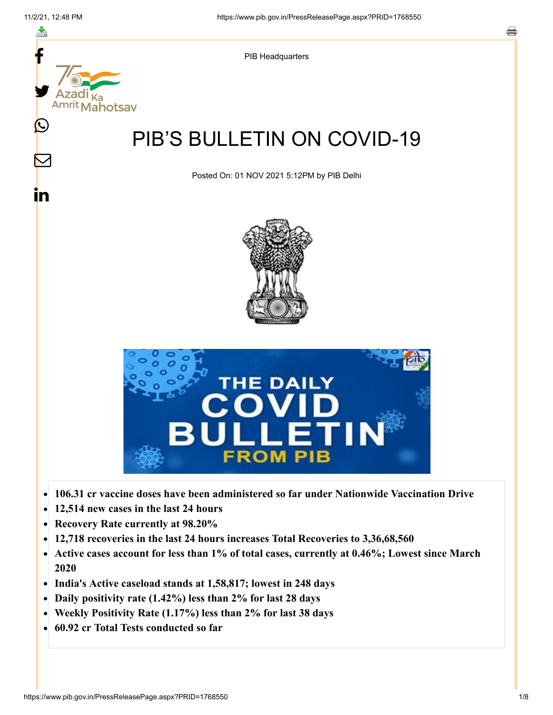f



- **106.31 cr vaccine doses have been administered so far under Nationwide Vaccination Drive**  $\bullet$
- **12,514 new cases in the last 24 hours**  $\bullet$
- **Recovery Rate currently at 98.20%**  $\bullet$
- **12,718 recoveries in the last 24 hours increases Total Recoveries to 3,36,68,560**  $\bullet$
- **Active cases account for less than 1% of total cases, currently at 0.46%; Lowest since March**  $\bullet$ **2020**
- **India's Active caseload stands at 1,58,817; lowest in 248 days**  $\bullet$
- **Daily positivity rate (1.42%) less than 2% for last 28 days**  $\bullet$
- **Weekly Positivity Rate (1.17%) less than 2% for last 38 days**  $\bullet$
- **60.92 cr Total Tests conducted so far**  $\bullet$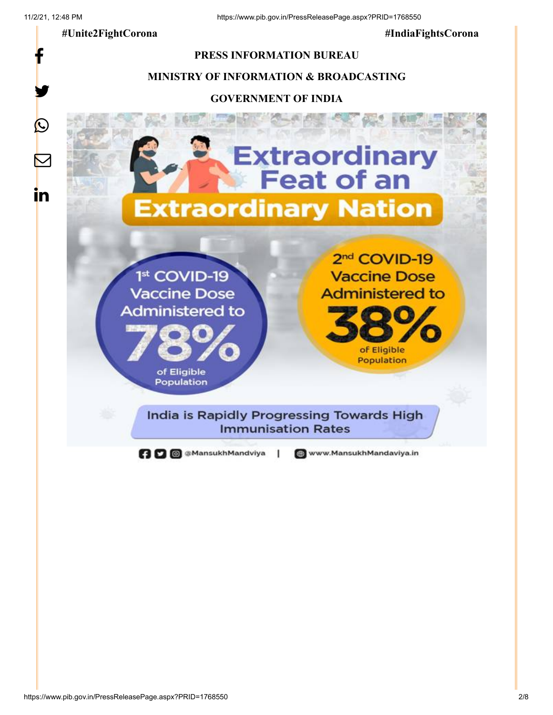f

y.

C

in

 **#Unite2FightCorona #IndiaFightsCorona**

# **PRESS INFORMATION BUREAU**

# **MINISTRY OF INFORMATION & BROADCASTING**

#### **GOVERNMENT OF INDIA**

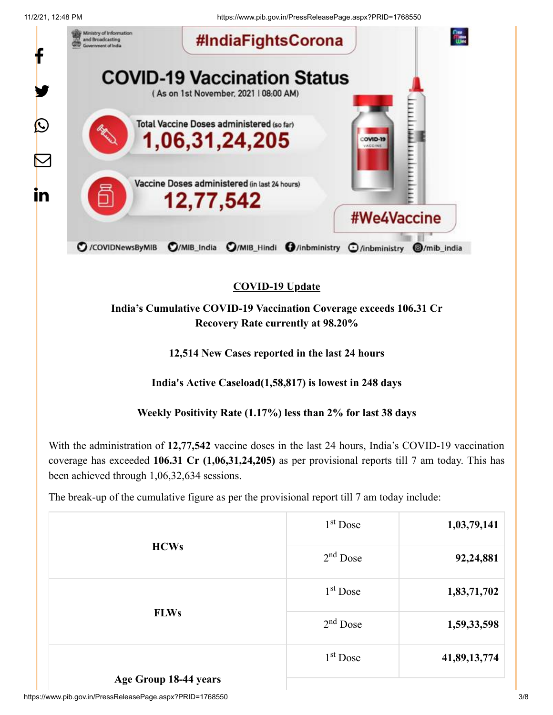11/2/21, 12:48 PM https://www.pib.gov.in/PressReleasePage.aspx?PRID=1768550



# **COVID-19 Update**

**India's Cumulative COVID-19 Vaccination Coverage exceeds 106.31 Cr Recovery Rate currently at 98.20%**

**12,514 New Cases reported in the last 24 hours**

**India's Active Caseload(1,58,817) is lowest in 248 days**

**Weekly Positivity Rate (1.17%) less than 2% for last 38 days**

With the administration of **12,77,542** vaccine doses in the last 24 hours, India's COVID-19 vaccination coverage has exceeded **106.31 Cr (1,06,31,24,205)** as per provisional reports till 7 am today. This has been achieved through 1,06,32,634 sessions.

The break-up of the cumulative figure as per the provisional report till 7 am today include:

| <b>HCWs</b>           | $1st$ Dose | 1,03,79,141  |
|-----------------------|------------|--------------|
|                       | $2nd$ Dose | 92,24,881    |
| <b>FLWs</b>           | $1st$ Dose | 1,83,71,702  |
|                       | $2nd$ Dose | 1,59,33,598  |
| Age Group 18-44 years | $1st$ Dose | 41,89,13,774 |
|                       |            |              |

https://www.pib.gov.in/PressReleasePage.aspx?PRID=1768550 3/8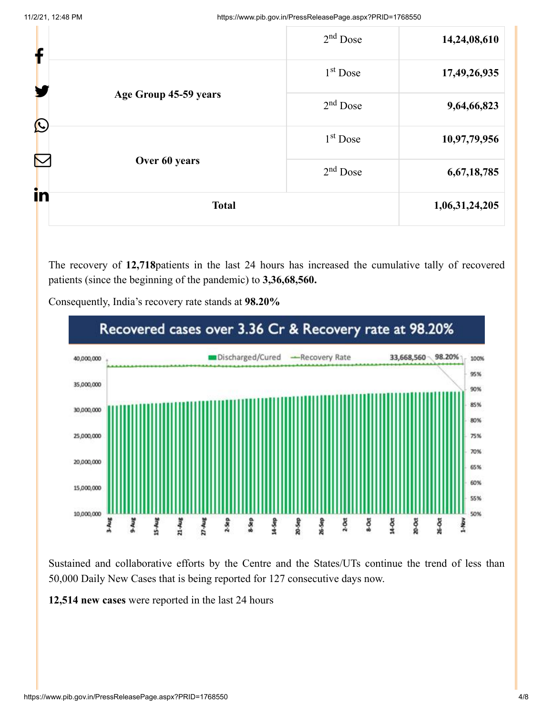| in<br><b>Total</b> |                       | 1,06,31,24,205 |              |
|--------------------|-----------------------|----------------|--------------|
| Over 60 years<br>ℕ | $2nd$ Dose            | 6,67,18,785    |              |
|                    |                       | $1st$ Dose     | 10,97,79,956 |
| $\bigcirc$         | Age Group 45-59 years | $2nd$ Dose     | 9,64,66,823  |
| H                  | $1st$ Dose            | 17,49,26,935   |              |
| f                  |                       | $2nd$ Dose     | 14,24,08,610 |

The recovery of **12,718**patients in the last 24 hours has increased the cumulative tally of recovered patients (since the beginning of the pandemic) to **3,36,68,560.**



Consequently, India's recovery rate stands at **98.20%**

Sustained and collaborative efforts by the Centre and the States/UTs continue the trend of less than 50,000 Daily New Cases that is being reported for 127 consecutive days now.

**12,514 new cases** were reported in the last 24 hours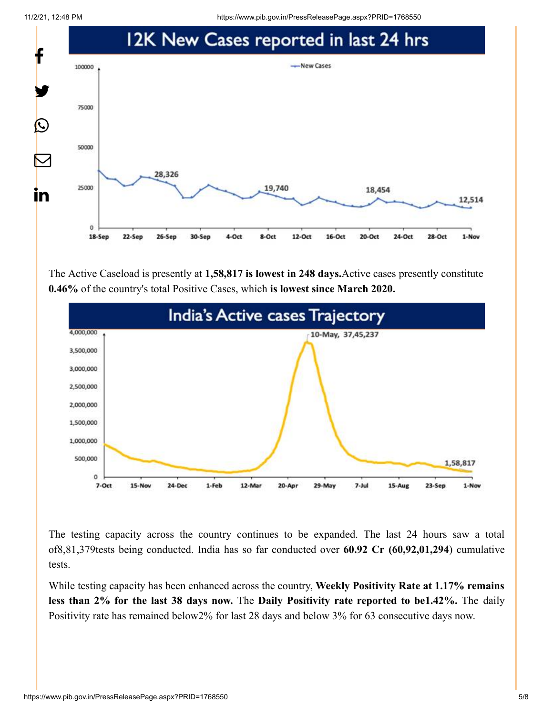11/2/21, 12:48 PM https://www.pib.gov.in/PressReleasePage.aspx?PRID=1768550



The Active Caseload is presently at **1,58,817 is lowest in 248 days.**Active cases presently constitute **0.46%** of the country's total Positive Cases, which **is lowest since March 2020.**



The testing capacity across the country continues to be expanded. The last 24 hours saw a total of8,81,379tests being conducted. India has so far conducted over **60.92 Cr (60,92,01,294**) cumulative tests.

While testing capacity has been enhanced across the country, **Weekly Positivity Rate at 1.17% remains less than 2% for the last 38 days now.** The **Daily Positivity rate reported to be1.42%.** The daily Positivity rate has remained below2% for last 28 days and below 3% for 63 consecutive days now.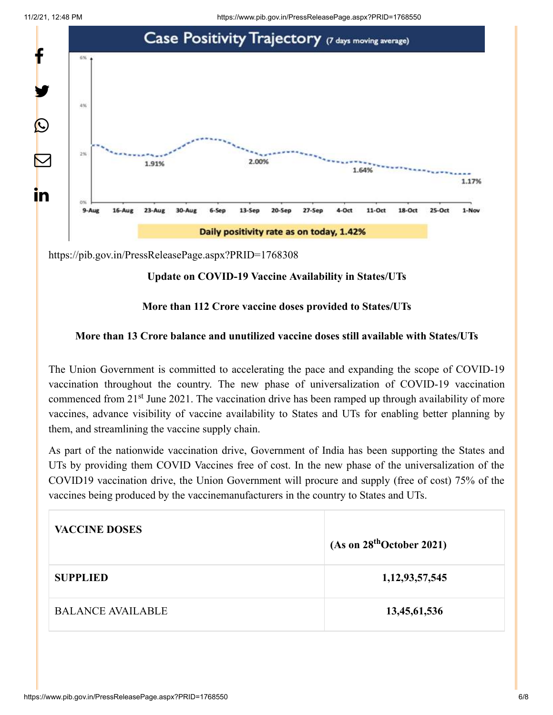11/2/21, 12:48 PM https://www.pib.gov.in/PressReleasePage.aspx?PRID=1768550



<https://pib.gov.in/PressReleasePage.aspx?PRID=1768308>

# **Update on COVID-19 Vaccine Availability in States/UTs**

### **More than 112 Crore vaccine doses provided to States/UTs**

# **More than 13 Crore balance and unutilized vaccine doses still available with States/UTs**

The Union Government is committed to accelerating the pace and expanding the scope of COVID-19 vaccination throughout the country. The new phase of universalization of COVID-19 vaccination commenced from 21<sup>st</sup> June 2021. The vaccination drive has been ramped up through availability of more vaccines, advance visibility of vaccine availability to States and UTs for enabling better planning by them, and streamlining the vaccine supply chain.

As part of the nationwide vaccination drive, Government of India has been supporting the States and UTs by providing them COVID Vaccines free of cost. In the new phase of the universalization of the COVID19 vaccination drive, the Union Government will procure and supply (free of cost) 75% of the vaccines being produced by the vaccinemanufacturers in the country to States and UTs.

| <b>VACCINE DOSES</b>     | (As on 28 <sup>th</sup> October 2021) |
|--------------------------|---------------------------------------|
| <b>SUPPLIED</b>          | 1, 12, 93, 57, 545                    |
| <b>BALANCE AVAILABLE</b> | 13,45,61,536                          |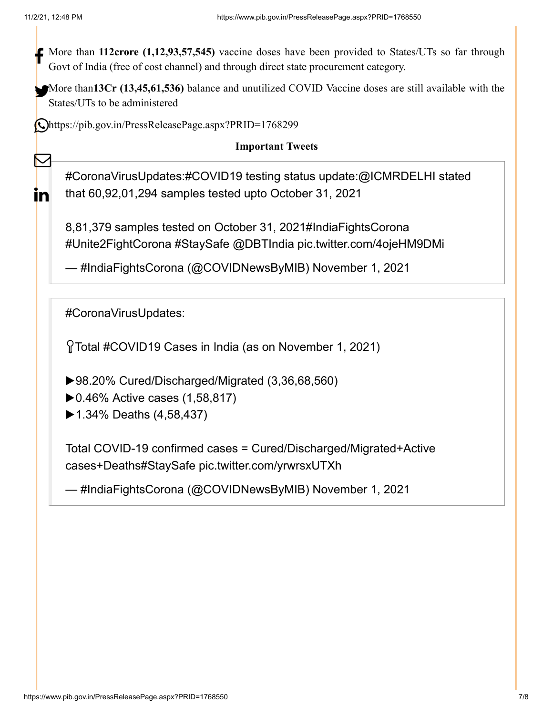$\bf \nabla$ 

In

More than **112crore** (1,12,93,57,545) vaccine doses have been provided to States/UTs so far through  $\frac{1}{2}$ Govt of India (free of cost channel) and through direct state procurement category.

More than<sup>13</sup>Cr (13,45,61,536) balance and unutilized COVID Vaccine doses are still available with the States/UTs to be administered

<https://pib.gov.in/PressReleasePage.aspx?PRID=1768299>

# **Important Tweets**

[#CoronaVirusUpdates](https://twitter.com/hashtag/CoronaVirusUpdates?src=hash&ref_src=twsrc%5Etfw)[:#COVID19](https://twitter.com/hashtag/COVID19?src=hash&ref_src=twsrc%5Etfw) testing status update:[@ICMRDELHI](https://twitter.com/ICMRDELHI?ref_src=twsrc%5Etfw) stated that 60,92,01,294 samples tested upto October 31, 2021

8,81,379 samples tested on October 31, 2021[#IndiaFightsCorona](https://twitter.com/hashtag/IndiaFightsCorona?src=hash&ref_src=twsrc%5Etfw) [#Unite2FightCorona](https://twitter.com/hashtag/Unite2FightCorona?src=hash&ref_src=twsrc%5Etfw) [#StaySafe](https://twitter.com/hashtag/StaySafe?src=hash&ref_src=twsrc%5Etfw) [@DBTIndia](https://twitter.com/DBTIndia?ref_src=twsrc%5Etfw) [pic.twitter.com/4ojeHM9DMi](https://t.co/4ojeHM9DMi)

— #IndiaFightsCorona (@COVIDNewsByMIB) [November 1, 2021](https://twitter.com/COVIDNewsByMIB/status/1455097182856515584?ref_src=twsrc%5Etfw)

[#CoronaVirusUpdates](https://twitter.com/hashtag/CoronaVirusUpdates?src=hash&ref_src=twsrc%5Etfw):

Total [#COVID19](https://twitter.com/hashtag/COVID19?src=hash&ref_src=twsrc%5Etfw) Cases in India (as on November 1, 2021)

▶98.20% Cured/Discharged/Migrated (3,36,68,560)

- ▶0.46% Active cases (1,58,817)
- ▶1.34% Deaths (4,58,437)

Total COVID-19 confirmed cases = Cured/Discharged/Migrated+Active cases+Death[s#StaySafe](https://twitter.com/hashtag/StaySafe?src=hash&ref_src=twsrc%5Etfw) [pic.twitter.com/yrwrsxUTXh](https://t.co/yrwrsxUTXh)

— #IndiaFightsCorona (@COVIDNewsByMIB) [November 1, 2021](https://twitter.com/COVIDNewsByMIB/status/1455107257553735683?ref_src=twsrc%5Etfw)